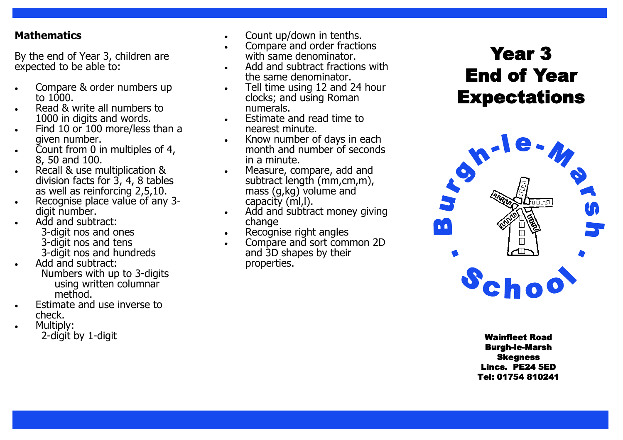#### **Mathematics**

By the end of Year 3, children are expected to be able to:

- Compare & order numbers up to  $1000$ .
- Read & write all numbers to 1000 in digits and words.
- Find 10 or 100 more/less than a given number.
- Count from 0 in multiples of 4, 8, 50 and 100.
- Recall & use multiplication & division facts for 3, 4, 8 tables as well as reinforcing 2,5,10.
- Recognise place value of any 3digit number.
- Add and subtract: 3-digit nos and ones <sup>3</sup>-digit nos and tens <sup>3</sup>-digit nos and hundreds
- Add and subtract: Numbers with up to 3 -digits using written columnar method.
- Estimate and use inverse to check.
- Multiply: 2-digit by 1-digit
- 
- with same denominator.
- Add and subtract fractions with the same denominator.
- Tell time using 12 and 24 hour clocks; and using Roman numerals.
- Estimate and read time to nearest minute.
- Know number of days in each month and number of seconds in a minute.
- Measure, compare, add and subtract length (mm,cm,m), mass (g,kg) volume and capacity (ml,l).
- Add and subtract money giving change
- Recognise right angles
- Compare and sort common 2D and 3D shapes by their properties.

# Year 3 End of Year **Expectations**



-digit Wainfleet Road Burgh -le -Marsh Skegness Lincs. PE24 5ED